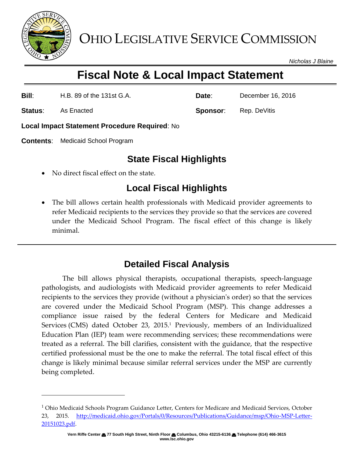

*Nicholas J Blaine*

# **Fiscal Note & Local Impact Statement**

**Bill**: H.B. 89 of the 131st G.A. **Date**: December 16, 2016

**Status:** As Enacted **Sponsor:** Rep. DeVitis

l

**Local Impact Statement Procedure Required**: No

**Contents**: Medicaid School Program

## **State Fiscal Highlights**

No direct fiscal effect on the state.

# **Local Fiscal Highlights**

 The bill allows certain health professionals with Medicaid provider agreements to refer Medicaid recipients to the services they provide so that the services are covered under the Medicaid School Program. The fiscal effect of this change is likely minimal.

## **Detailed Fiscal Analysis**

The bill allows physical therapists, occupational therapists, speech-language pathologists, and audiologists with Medicaid provider agreements to refer Medicaid recipients to the services they provide (without a physician's order) so that the services are covered under the Medicaid School Program (MSP). This change addresses a compliance issue raised by the federal Centers for Medicare and Medicaid Services (CMS) dated October 23, 2015.<sup>1</sup> Previously, members of an Individualized Education Plan (IEP) team were recommending services; these recommendations were treated as a referral. The bill clarifies, consistent with the guidance, that the respective certified professional must be the one to make the referral. The total fiscal effect of this change is likely minimal because similar referral services under the MSP are currently being completed.

 $<sup>1</sup>$  Ohio Medicaid Schools Program Guidance Letter, Centers for Medicare and Medicaid Services, October</sup> 23, 2015. [http://medicaid.ohio.gov/Portals/0/Resources/Publications/Guidance/msp/Ohio-MSP-Letter-](http://medicaid.ohio.gov/Portals/0/Resources/Publications/Guidance/msp/Ohio-MSP-Letter-20151023.pdf)[20151023.pdf.](http://medicaid.ohio.gov/Portals/0/Resources/Publications/Guidance/msp/Ohio-MSP-Letter-20151023.pdf)